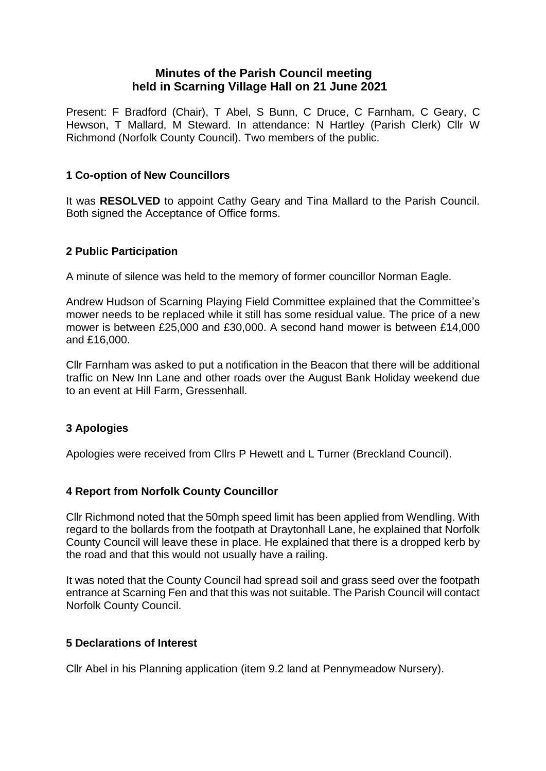# **Minutes of the Parish Council meeting held in Scarning Village Hall on 21 June 2021**

Present: F Bradford (Chair), T Abel, S Bunn, C Druce, C Farnham, C Geary, C Hewson, T Mallard, M Steward. In attendance: N Hartley (Parish Clerk) Cllr W Richmond (Norfolk County Council). Two members of the public.

# **1 Co-option of New Councillors**

It was **RESOLVED** to appoint Cathy Geary and Tina Mallard to the Parish Council. Both signed the Acceptance of Office forms.

## **2 Public Participation**

A minute of silence was held to the memory of former councillor Norman Eagle.

Andrew Hudson of Scarning Playing Field Committee explained that the Committee's mower needs to be replaced while it still has some residual value. The price of a new mower is between £25,000 and £30,000. A second hand mower is between £14,000 and £16,000.

Cllr Farnham was asked to put a notification in the Beacon that there will be additional traffic on New Inn Lane and other roads over the August Bank Holiday weekend due to an event at Hill Farm, Gressenhall.

# **3 Apologies**

Apologies were received from Cllrs P Hewett and L Turner (Breckland Council).

## **4 Report from Norfolk County Councillor**

Cllr Richmond noted that the 50mph speed limit has been applied from Wendling. With regard to the bollards from the footpath at Draytonhall Lane, he explained that Norfolk County Council will leave these in place. He explained that there is a dropped kerb by the road and that this would not usually have a railing.

It was noted that the County Council had spread soil and grass seed over the footpath entrance at Scarning Fen and that this was not suitable. The Parish Council will contact Norfolk County Council.

## **5 Declarations of Interest**

Cllr Abel in his Planning application (item 9.2 land at Pennymeadow Nursery).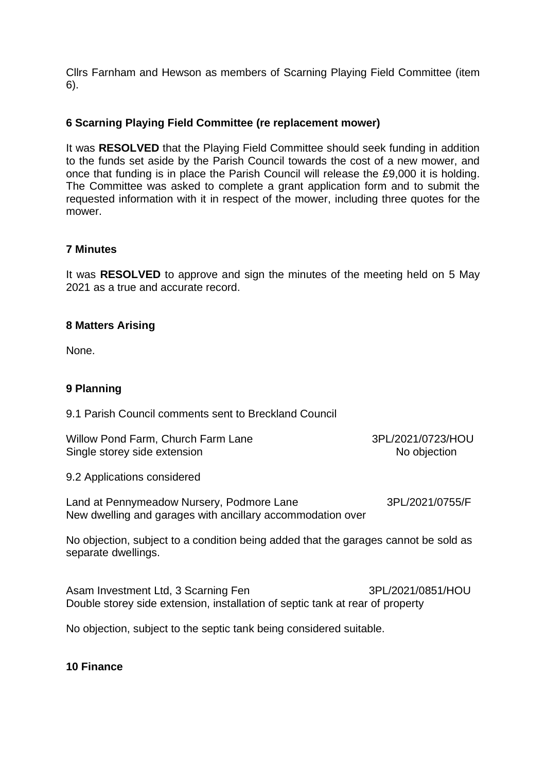Cllrs Farnham and Hewson as members of Scarning Playing Field Committee (item 6).

# **6 Scarning Playing Field Committee (re replacement mower)**

It was **RESOLVED** that the Playing Field Committee should seek funding in addition to the funds set aside by the Parish Council towards the cost of a new mower, and once that funding is in place the Parish Council will release the £9,000 it is holding. The Committee was asked to complete a grant application form and to submit the requested information with it in respect of the mower, including three quotes for the mower.

## **7 Minutes**

It was **RESOLVED** to approve and sign the minutes of the meeting held on 5 May 2021 as a true and accurate record.

## **8 Matters Arising**

None.

## **9 Planning**

9.1 Parish Council comments sent to Breckland Council

Willow Pond Farm, Church Farm Lane 3PL/2021/0723/HOU Single storey side extension No objection

9.2 Applications considered

Land at Pennymeadow Nursery, Podmore Lane 3PL/2021/0755/F New dwelling and garages with ancillary accommodation over

No objection, subject to a condition being added that the garages cannot be sold as separate dwellings.

Asam Investment Ltd, 3 Scarning Fen 3PL/2021/0851/HOU Double storey side extension, installation of septic tank at rear of property

No objection, subject to the septic tank being considered suitable.

#### **10 Finance**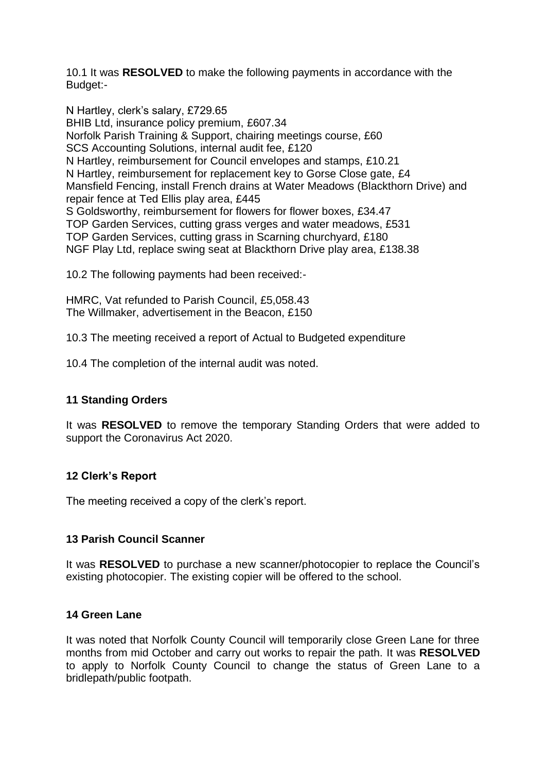10.1 It was **RESOLVED** to make the following payments in accordance with the Budget:-

N Hartley, clerk's salary, £729.65 BHIB Ltd, insurance policy premium, £607.34 Norfolk Parish Training & Support, chairing meetings course, £60 SCS Accounting Solutions, internal audit fee, £120 N Hartley, reimbursement for Council envelopes and stamps, £10.21 N Hartley, reimbursement for replacement key to Gorse Close gate, £4 Mansfield Fencing, install French drains at Water Meadows (Blackthorn Drive) and repair fence at Ted Ellis play area, £445 S Goldsworthy, reimbursement for flowers for flower boxes, £34.47 TOP Garden Services, cutting grass verges and water meadows, £531 TOP Garden Services, cutting grass in Scarning churchyard, £180 NGF Play Ltd, replace swing seat at Blackthorn Drive play area, £138.38

10.2 The following payments had been received:-

HMRC, Vat refunded to Parish Council, £5,058.43 The Willmaker, advertisement in the Beacon, £150

10.3 The meeting received a report of Actual to Budgeted expenditure

10.4 The completion of the internal audit was noted.

## **11 Standing Orders**

It was **RESOLVED** to remove the temporary Standing Orders that were added to support the Coronavirus Act 2020.

#### **12 Clerk's Report**

The meeting received a copy of the clerk's report.

## **13 Parish Council Scanner**

It was **RESOLVED** to purchase a new scanner/photocopier to replace the Council's existing photocopier. The existing copier will be offered to the school.

#### **14 Green Lane**

It was noted that Norfolk County Council will temporarily close Green Lane for three months from mid October and carry out works to repair the path. It was **RESOLVED** to apply to Norfolk County Council to change the status of Green Lane to a bridlepath/public footpath.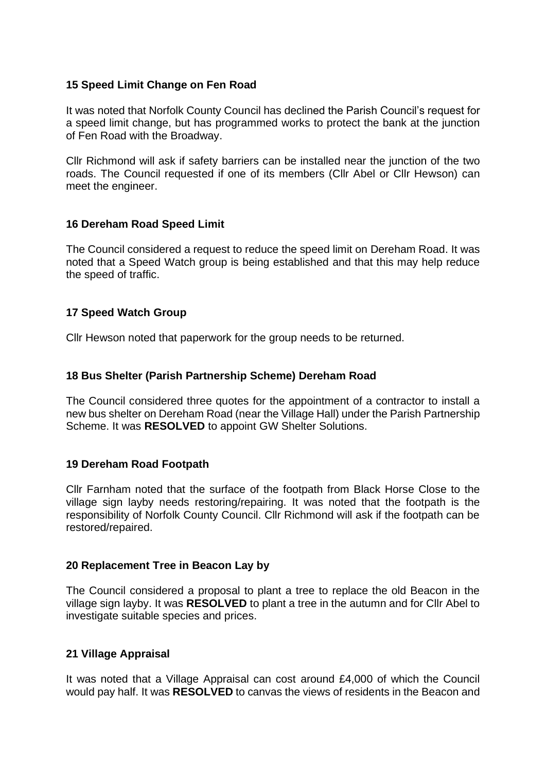## **15 Speed Limit Change on Fen Road**

It was noted that Norfolk County Council has declined the Parish Council's request for a speed limit change, but has programmed works to protect the bank at the junction of Fen Road with the Broadway.

Cllr Richmond will ask if safety barriers can be installed near the junction of the two roads. The Council requested if one of its members (Cllr Abel or Cllr Hewson) can meet the engineer.

#### **16 Dereham Road Speed Limit**

The Council considered a request to reduce the speed limit on Dereham Road. It was noted that a Speed Watch group is being established and that this may help reduce the speed of traffic.

## **17 Speed Watch Group**

Cllr Hewson noted that paperwork for the group needs to be returned.

#### **18 Bus Shelter (Parish Partnership Scheme) Dereham Road**

The Council considered three quotes for the appointment of a contractor to install a new bus shelter on Dereham Road (near the Village Hall) under the Parish Partnership Scheme. It was **RESOLVED** to appoint GW Shelter Solutions.

## **19 Dereham Road Footpath**

Cllr Farnham noted that the surface of the footpath from Black Horse Close to the village sign layby needs restoring/repairing. It was noted that the footpath is the responsibility of Norfolk County Council. Cllr Richmond will ask if the footpath can be restored/repaired.

## **20 Replacement Tree in Beacon Lay by**

The Council considered a proposal to plant a tree to replace the old Beacon in the village sign layby. It was **RESOLVED** to plant a tree in the autumn and for Cllr Abel to investigate suitable species and prices.

## **21 Village Appraisal**

It was noted that a Village Appraisal can cost around £4,000 of which the Council would pay half. It was **RESOLVED** to canvas the views of residents in the Beacon and